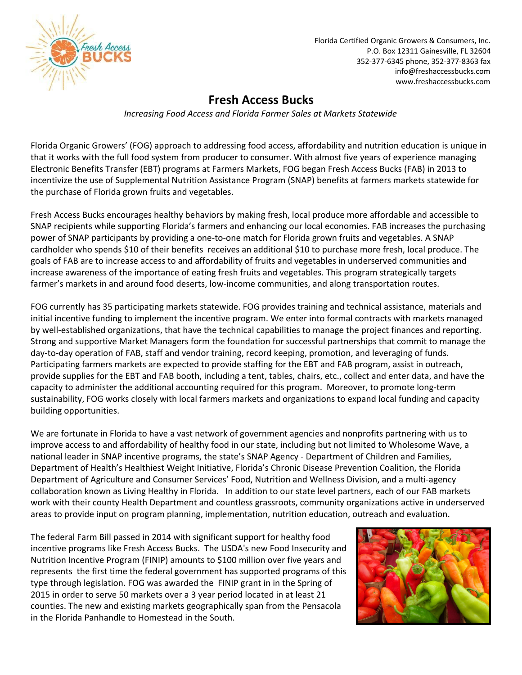

Florida Certified Organic Growers & Consumers, Inc. P.O. Box 12311 Gainesville, FL 32604 352-377-6345 phone, 352-377-8363 fax info@freshaccessbucks.com www.freshaccessbucks.com

## **Fresh Access Bucks**

*Increasing Food Access and Florida Farmer Sales at Markets Statewide*

Florida Organic Growers' (FOG) approach to addressing food access, affordability and nutrition education is unique in that it works with the full food system from producer to consumer. With almost five years of experience managing Electronic Benefits Transfer (EBT) programs at Farmers Markets, FOG began Fresh Access Bucks (FAB) in 2013 to incentivize the use of Supplemental Nutrition Assistance Program (SNAP) benefits at farmers markets statewide for the purchase of Florida grown fruits and vegetables.

Fresh Access Bucks encourages healthy behaviors by making fresh, local produce more affordable and accessible to SNAP recipients while supporting Florida's farmers and enhancing our local economies. FAB increases the purchasing power of SNAP participants by providing a one-to-one match for Florida grown fruits and vegetables. A SNAP cardholder who spends \$10 of their benefits receives an additional \$10 to purchase more fresh, local produce. The goals of FAB are to increase access to and affordability of fruits and vegetables in underserved communities and increase awareness of the importance of eating fresh fruits and vegetables. This program strategically targets farmer's markets in and around food deserts, low-income communities, and along transportation routes.

FOG currently has 35 participating markets statewide. FOG provides training and technical assistance, materials and initial incentive funding to implement the incentive program. We enter into formal contracts with markets managed by well-established organizations, that have the technical capabilities to manage the project finances and reporting. Strong and supportive Market Managers form the foundation for successful partnerships that commit to manage the day-to-day operation of FAB, staff and vendor training, record keeping, promotion, and leveraging of funds. Participating farmers markets are expected to provide staffing for the EBT and FAB program, assist in outreach, provide supplies for the EBT and FAB booth, including a tent, tables, chairs, etc., collect and enter data, and have the capacity to administer the additional accounting required for this program. Moreover, to promote long-term sustainability, FOG works closely with local farmers markets and organizations to expand local funding and capacity building opportunities.

We are fortunate in Florida to have a vast network of government agencies and nonprofits partnering with us to improve access to and affordability of healthy food in our state, including but not limited to Wholesome Wave, a national leader in SNAP incentive programs, the state's SNAP Agency - Department of Children and Families, Department of Health's Healthiest Weight Initiative, Florida's Chronic Disease Prevention Coalition, the Florida Department of Agriculture and Consumer Services' Food, Nutrition and Wellness Division, and a multi-agency collaboration known as Living Healthy in Florida. In addition to our state level partners, each of our FAB markets work with their county Health Department and countless grassroots, community organizations active in underserved areas to provide input on program planning, implementation, nutrition education, outreach and evaluation.

The federal Farm Bill passed in 2014 with significant support for healthy food incentive programs like Fresh Access Bucks. The USDA's new Food Insecurity and Nutrition Incentive Program (FINIP) amounts to \$100 million over five years and represents the first time the federal government has supported programs of this type through legislation. FOG was awarded the FINIP grant in in the Spring of 2015 in order to serve 50 markets over a 3 year period located in at least 21 counties. The new and existing markets geographically span from the Pensacola in the Florida Panhandle to Homestead in the South.